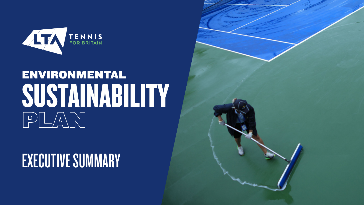

# ENVIRONMENTAL SUSTAINABILITY PLANN

## EXECUTIVE SUMMARY

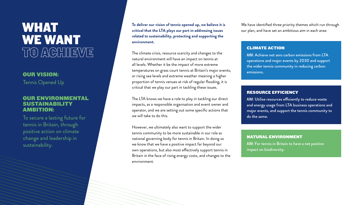## WHAT WE WANT TO ACHIEVE

**To deliver our vision of tennis opened up, we believe it is critical that the LTA plays our part in addressing issues related to sustainability, protecting and supporting the environment.** 

The climate crisis, resource scarcity and changes to the natural environment will have an impact on tennis at all levels. Whether it be the impact of more extreme temperatures on grass court tennis at Britain's major events, or rising sea levels and extreme weather meaning a higher proportion of tennis venues at risk of regular flooding, it is critical that we play our part in tackling these issues.

The LTA knows we have a role to play in tackling our direct impacts, as a responsible organisation and event owner and operator, and we are setting out some specific actions that we will take to do this.

However, we ultimately also want to support the wider tennis community to be more sustainable in our role as national governing body for tennis in Britain. In doing so we know that we have a positive impact far beyond our own operations, but also most effectively support tennis in Britain in the face of rising energy costs, and changes to the environment.

We have identified three priority themes which run through our plan, and have set an ambitious aim in each area:

#### CLIMATE ACTION

AIM: Achieve net zero carbon emissions from LTA operations and major events by 2030 and support the wider tennis community in reducing carbon

emissions.

#### RESOURCE EFFICIENCY

AIM: Utilise resources efficiently to reduce waste and energy usage from LTA business operations and major events, and support the tennis community to do the same.

#### NATURAL ENVIRONMENT

AIM: For tennis in Britain to have a net positive impact on biodiversity.

### OUR VISION:

#### OUR ENVIRONMENTAL SUSTAINABILITY AMBITION:

To secure a lasting future for tennis in Britain, through positive action on climate change and leadership in sustainability.

Tennis Opened Up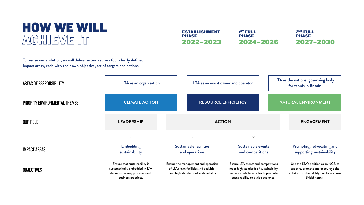![](_page_2_Figure_2.jpeg)

### HOW WE WILL ACHIEVE IT

**To realise our ambition, we will deliver actions across four clearly defined impact areas, each with their own objective, set of targets and actions.** 

ESTABLISHMENT

PHASE

2022–2023

![](_page_2_Figure_3.jpeg)

2ND FULL PHASE 2027–2030